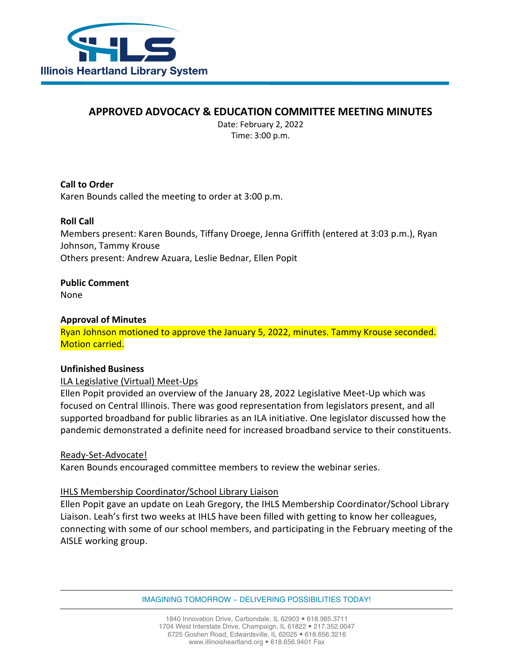

# **APPROVED ADVOCACY & EDUCATION COMMITTEE MEETING MINUTES**

Date: February 2, 2022 Time: 3:00 p.m.

**Call to Order** Karen Bounds called the meeting to order at 3:00 p.m.

## **Roll Call**

Members present: Karen Bounds, Tiffany Droege, Jenna Griffith (entered at 3:03 p.m.), Ryan Johnson, Tammy Krouse Others present: Andrew Azuara, Leslie Bednar, Ellen Popit

**Public Comment** None

## **Approval of Minutes**

Ryan Johnson motioned to approve the January 5, 2022, minutes. Tammy Krouse seconded. Motion carried.

## **Unfinished Business**

ILA Legislative (Virtual) Meet-Ups

Ellen Popit provided an overview of the January 28, 2022 Legislative Meet-Up which was focused on Central Illinois. There was good representation from legislators present, and all supported broadband for public libraries as an ILA initiative. One legislator discussed how the pandemic demonstrated a definite need for increased broadband service to their constituents.

## Ready-Set-Advocate!

Karen Bounds encouraged committee members to review the webinar series.

## IHLS Membership Coordinator/School Library Liaison

Ellen Popit gave an update on Leah Gregory, the IHLS Membership Coordinator/School Library Liaison. Leah's first two weeks at IHLS have been filled with getting to know her colleagues, connecting with some of our school members, and participating in the February meeting of the AISLE working group.